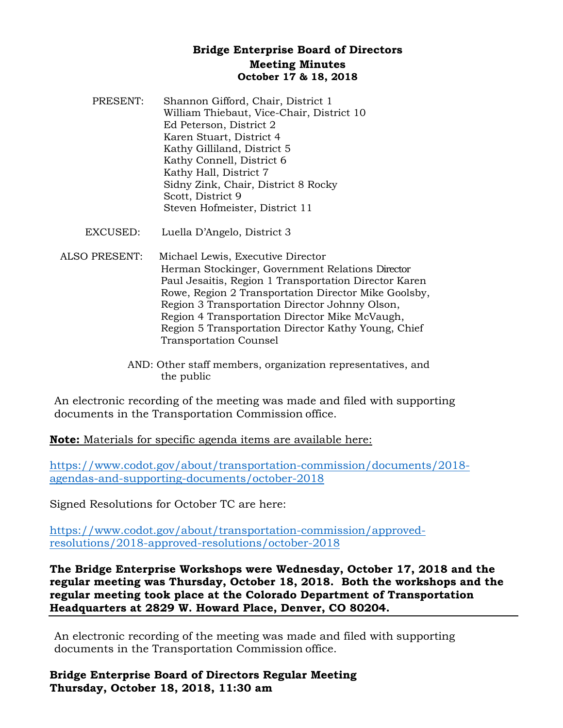## **Bridge Enterprise Board of Directors Meeting Minutes October 17 & 18, 2018**

- PRESENT: Shannon Gifford, Chair, District 1 William Thiebaut, Vice-Chair, District 10 Ed Peterson, District 2 Karen Stuart, District 4 Kathy Gilliland, District 5 Kathy Connell, District 6 Kathy Hall, District 7 Sidny Zink, Chair, District 8 Rocky Scott, District 9 Steven Hofmeister, District 11
- EXCUSED: Luella D'Angelo, District 3
- ALSO PRESENT: Michael Lewis, Executive Director Herman Stockinger, Government Relations Director Paul Jesaitis, Region 1 Transportation Director Karen Rowe, Region 2 Transportation Director Mike Goolsby, Region 3 Transportation Director Johnny Olson, Region 4 Transportation Director Mike McVaugh, Region 5 Transportation Director Kathy Young, Chief Transportation Counsel
	- AND: Other staff members, organization representatives, and the public

An electronic recording of the meeting was made and filed with supporting documents in the Transportation Commission office.

**Note:** Materials for specific agenda items are available here:

[https://www.codot.gov/about/transportation-commission/documents/2018](https://www.codot.gov/about/transportation-commission/documents/2018-agendas-and-supporting-documents/october-2018) [agendas-and-supporting-documents/october-2018](https://www.codot.gov/about/transportation-commission/documents/2018-agendas-and-supporting-documents/october-2018)

Signed Resolutions for October TC are here:

[https://www.codot.gov/about/transportation-commission/approved](https://www.codot.gov/about/transportation-commission/approved-resolutions/2018-approved-resolutions/october-2018)[resolutions/2018-approved-resolutions/october-2018](https://www.codot.gov/about/transportation-commission/approved-resolutions/2018-approved-resolutions/october-2018)

**The Bridge Enterprise Workshops were Wednesday, October 17, 2018 and the regular meeting was Thursday, October 18, 2018. Both the workshops and the regular meeting took place at the Colorado Department of Transportation Headquarters at 2829 W. Howard Place, Denver, CO 80204.** 

An electronic recording of the meeting was made and filed with supporting documents in the Transportation Commission office.

**Bridge Enterprise Board of Directors Regular Meeting Thursday, October 18, 2018, 11:30 am**